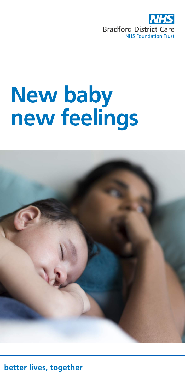

## **New baby new feelings**



**better lives, together**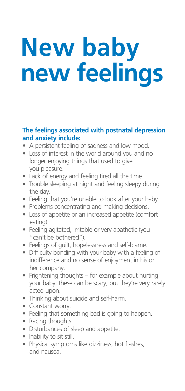# **New baby new feelings**

#### **The feelings associated with postnatal depression and anxiety include:**

- A persistent feeling of sadness and low mood.
- Loss of interest in the world around you and no longer enjoying things that used to give you pleasure.
- Lack of energy and feeling tired all the time.
- Trouble sleeping at night and feeling sleepy during the day.
- Feeling that you're unable to look after your baby.
- Problems concentrating and making decisions.
- Loss of appetite or an increased appetite (comfort eating).
- Feeling agitated, irritable or very apathetic (you "can't be bothered").
- Feelings of guilt, hopelessness and self-blame.
- Difficulty bonding with your baby with a feeling of indifference and no sense of enjoyment in his or her company.
- Frightening thoughts for example about hurting your baby; these can be scary, but they're very rarely acted upon.
- Thinking about suicide and self-harm.
- Constant worry.
- Feeling that something bad is going to happen.
- Racing thoughts.
- Disturbances of sleep and appetite.
- Inability to sit still.
- Physical symptoms like dizziness, hot flashes, and nausea.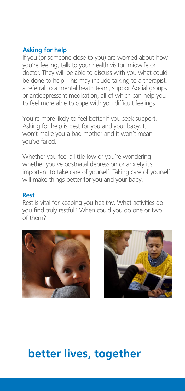#### **Asking for help**

If you (or someone close to you) are worried about how you're feeling, talk to your health visitor, midwife or doctor. They will be able to discuss with you what could be done to help. This may include talking to a therapist, a referral to a mental heath team, support/social groups or antidepressant medication, all of which can help you to feel more able to cope with you difficult feelings.

You're more likely to feel better if you seek support. Asking for help is best for you and your baby. It won't make you a bad mother and it won't mean you've failed.

Whether you feel a little low or you're wondering whether you've postnatal depression or anxiety it's important to take care of yourself. Taking care of yourself will make things better for you and your baby.

#### **Rest**

Rest is vital for keeping you healthy. What activities do you find truly restful? When could you do one or two of them?





### **better lives, together**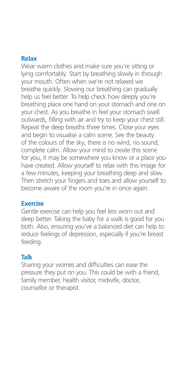#### **Relax**

Wear warm clothes and make sure you're sitting or lying comfortably. Start by breathing slowly in through your mouth. Often when we're not relaxed we breathe quickly. Slowing our breathing can gradually help us feel better. To help check how deeply you're breathing place one hand on your stomach and one on your chest. As you breathe in feel your stomach swell outwards, filling with air and try to keep your chest still. Repeat the deep breaths three times. Close your eyes and begin to visualise a calm scene. See the beauty of the colours of the sky, there is no wind, no sound, complete calm. Allow your mind to create this scene for you, it may be somewhere you know or a place you have created. Allow yourself to relax with this image for a few minutes, keeping your breathing deep and slow. Then stretch your fingers and toes and allow yourself to become aware of the room you're in once again.

#### **Exercise**

Gentle exercise can help you feel less worn out and sleep better. Taking the baby for a walk is good for you both. Also, ensuring you've a balanced diet can help to reduce feelings of depression, especially if you're breast feeding.

#### **Talk**

Sharing your worries and difficulties can ease the pressure they put on you. This could be with a friend, family member, health visitor, midwife, doctor, counsellor or therapist.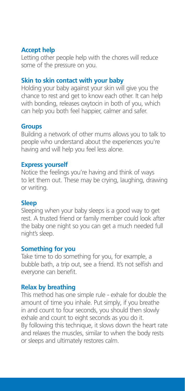#### **Accept help**

Letting other people help with the chores will reduce some of the pressure on you.

#### **Skin to skin contact with your baby**

Holding your baby against your skin will give you the chance to rest and get to know each other. It can help with bonding, releases oxytocin in both of you, which can help you both feel happier, calmer and safer.

#### **Groups**

Building a network of other mums allows you to talk to people who understand about the experiences you're having and will help you feel less alone.

#### **Express yourself**

Notice the feelings you're having and think of ways to let them out. These may be crying, laughing, drawing or writing.

#### **Sleep**

Sleeping when your baby sleeps is a good way to get rest. A trusted friend or family member could look after the baby one night so you can get a much needed full night's sleep.

#### **Something for you**

Take time to do something for you, for example, a bubble bath, a trip out, see a friend. It's not selfish and everyone can benefit.

#### **Relax by breathing**

This method has one simple rule - exhale for double the amount of time you inhale. Put simply, if you breathe in and count to four seconds, you should then slowly exhale and count to eight seconds as you do it. By following this technique, it slows down the heart rate and relaxes the muscles, similar to when the body rests or sleeps and ultimately restores calm.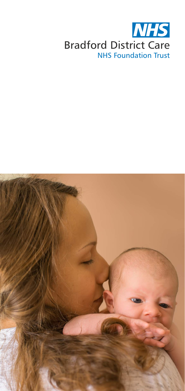

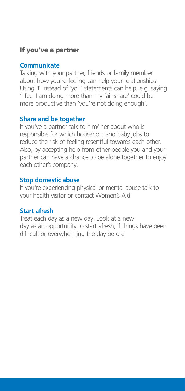#### If you've a partner

#### **Communicate**

Talking with your partner, friends or family member about how you're feeling can help your relationships. Using 'I' instead of 'you' statements can help, e.g. saying 'I feel I am doing more than my fair share' could be more productive than 'you're not doing enough'.

#### **Share and be together**

If you've a partner talk to him/ her about who is responsible for which household and baby jobs to reduce the risk of feeling resentful towards each other. Also, by accepting help from other people you and your partner can have a chance to be alone together to enjoy each other's company.

#### **Stop domestic abuse**

If you're experiencing physical or mental abuse talk to your health visitor or contact Women's Aid.

#### **Start afresh**

Treat each day as a new day. Look at a new day as an opportunity to start afresh, if things have been difficult or overwhelming the day before.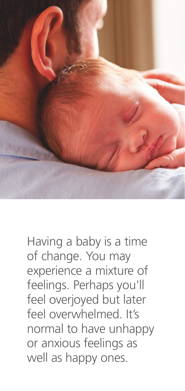

## Having a baby is a time of change. You may experience a mixture of feelings. Perhaps you'll feel overjoyed but later feel overwhelmed. It's normal to have unhappy or anxious feelings as well as happy ones.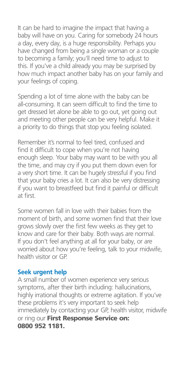It can be hard to imagine the impact that having a baby will have on you. Caring for somebody 24 hours a day, every day, is a huge responsibility. Perhaps you have changed from being a single woman or a couple to becoming a family; you'll need time to adjust to this. If you've a child already you may be surprised by how much impact another baby has on your family and your feelings of coping.

Spending a lot of time alone with the baby can be all-consuming. It can seem difficult to find the time to get dressed let alone be able to go out, yet going out and meeting other people can be very helpful. Make it a priority to do things that stop you feeling isolated.

Remember it's normal to feel tired, confused and find it difficult to cope when you're not having enough sleep. Your baby may want to be with you all the time, and may cry if you put them down even for a very short time. It can be hugely stressful if you find that your baby cries a lot. It can also be very distressing if you want to breastfeed but find it painful or difficult at first.

Some women fall in love with their babies from the moment of birth, and some women find that their love grows slowly over the first few weeks as they get to know and care for their baby. Both ways are normal. If you don't feel anything at all for your baby, or are worried about how you're feeling, talk to your midwife, health visitor or GP.

#### **Seek urgent help**

A small number of women experience very serious symptoms, after their birth including: hallucinations, highly irrational thoughts or extreme agitation. If you've these problems it's very important to seek help immediately by contacting your GP, health visitor, midwife or ring our First Response Service on: 0800 952 1181.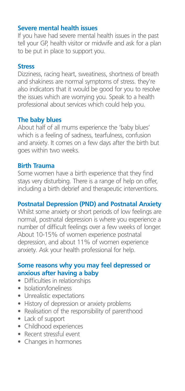#### **Severe mental health issues**

If you have had severe mental health issues in the past tell your GP, health visitor or midwife and ask for a plan to be put in place to support you.

#### **Stress**

Dizziness, racing heart, sweatiness, shortness of breath and shakiness are normal symptoms of stress. they're also indicators that it would be good for you to resolve the issues which are worrying you. Speak to a health professional about services which could help you.

#### **The baby blues**

About half of all mums experience the 'baby blues' which is a feeling of sadness, tearfulness, confusion and anxiety. It comes on a few days after the birth but goes within two weeks.

#### **Birth Trauma**

Some women have a birth experience that they find stays very disturbing. There is a range of help on offer, including a birth debrief and therapeutic interventions.

#### **Postnatal Depression (PND) and Postnatal Anxiety**

Whilst some anxiety or short periods of low feelings are normal, postnatal depression is where you experience a number of difficult feelings over a few weeks of longer. About 10-15% of women experience postnatal depression, and about 11% of women experience anxiety. Ask your health professional for help.

#### **Some reasons why you may feel depressed or anxious after having a baby**

- Difficulties in relationships
- Isolation/Ioneliness
- Unrealistic expectations
- History of depression or anxiety problems
- Realisation of the responsibility of parenthood
- Lack of support
- Childhood experiences
- Recent stressful event
- Changes in hormones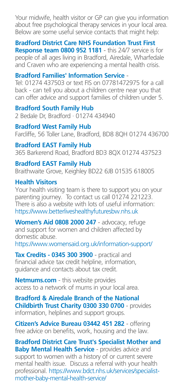Your midwife, health visitor or GP can give you information about free psychological therapy services in your local area. Below are some useful service contacts that might help:

**Bradford District Care NHS Foundation Trust First Response team 0800 952 1181** - this 24/7 service is for people of all ages living in Bradford, Airedale, Wharfedale and Craven who are experiencing a mental health crisis.

#### **Bradford Families' Information Service** -

Tel: 01274 437503 or text FIS on 07781472975 for a call back - can tell you about a children centre near you that can offer advice and support families of children under 5.

**Bradford South Family Hub** 2 Bedale Dr, Bradford · 01274 434940

**Bradford West Family Hub** Farcliffe, 56 Toller Lane, Bradford, BD8 8QH 01274 436700

**Bradford EAST Family Hub** 365 Barkerend Road, Bradford BD3 8QX 01274 437523

#### **Bradford EAST Family Hub**

Braithwaite Grove, Keighley BD22 6JB 01535 618005

#### **Health Visitors**

Your health visiting team is there to support you on your parenting journey. To contact us call 01274 221223. There is also a website with lots of useful information: https://www.betterliveshealthyfuturesbw.nhs.uk

**Women's Aid 0808 2000 247** - advocacy, refuge and support for women and children affected by domestic abuse.

https://www.womensaid.org.uk/information-support/

**Tax Credits - 0345 300 3900** - practical and financial advice tax credit helpline, information, guidance and contacts about tax credit.

**Netmums.com** - this website provides access to a network of mums in your local area.

**Bradford & Airedale Branch of the National Childbirth Trust Charity 0300 330 0700** - provides information, helplines and support groups.

**Citizen's Advice Bureau 03442 451 282** - offering free advice on benefits, work, housing and the law.

**Bradford District Care Trust's Specialist Mother and Baby Mental Health Service - provides advice and** support to women with a history of or current severe mental health issue. Discuss a referral with your health professional. https://www.bdct.nhs.uk/services/specialistmother-baby-mental-health-service/